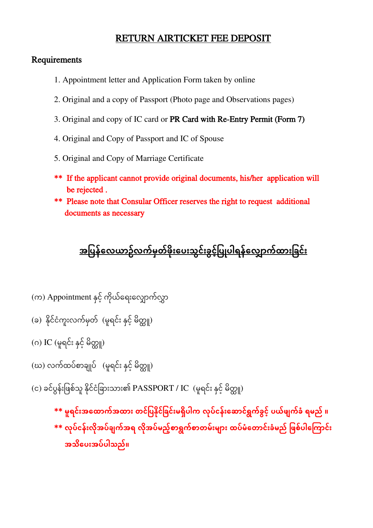## RETURN AIRTICKET FEE DEPOSIT

## Requirements

- 1. Appointment letter and Application Form taken by online
- 2. Original and a copy of Passport (Photo page and Observations pages)
- 3. Original and copy of IC card or PR Card with Re-Entry Permit (Form 7)
- 4. Original and Copy of Passport and IC of Spouse
- 5. Original and Copy of Marriage Certificate
- \*\* If the applicant cannot provide original documents, his/her application will be rejected .
- \*\* Please note that Consular Officer reserves the right to request additional documents as necessary

## <u>အပြန်လေယာဉ်လက်မှတ်ဖိုးပေးသွင်းခွင့်ပြုပါရန်လျှောက်ထားခြင်း</u>

- (က) Appointment နှင့် ကိုယ်ရေးလျှောက်လွှာ  $\overline{\phantom{a}}$  $\ddot{\phantom{a}}$
- (ခ) နိုင်ငံကူးလက်မှတ် (မူရင်း နှင့် မိတ္တူ)  $\ddot{\phantom{0}}$
- (ဂ) IC (မူရင်း နှင့် မိတ္တူ) ၂ ှ
- (ဃ) လက်ထပ်စာချုပ် (မူရင်း နှင့် မိတ္တူ) ှ
- (င) ခင်ပွန်းဖြစ်သူ နိုင်ငံခြားသား၏ PASSPORT / IC(မူရင်း နှင့် မိတ္တူ)  $\overline{\phantom{a}}$

 $\ast\ast$  မူရင်းအထောက်အထား တင်ပြနိုင်ခြင်းမရှိပါက လုပ်ငန်းဆောင်ရွက်ခွင့် ပယ်ဖျက်ခံ ရမည် ။ \*\* **ေုြ်ငန်ားေိုအြ်ချက်အရ ေိုအြ်မည့််စာရွက်စာတမ်ားမျာား ထြ်မံလတာင်ားခံမည် ပဖစ်ြါလ ကာင်ား အသိလြားအြ်ြါသည်။**